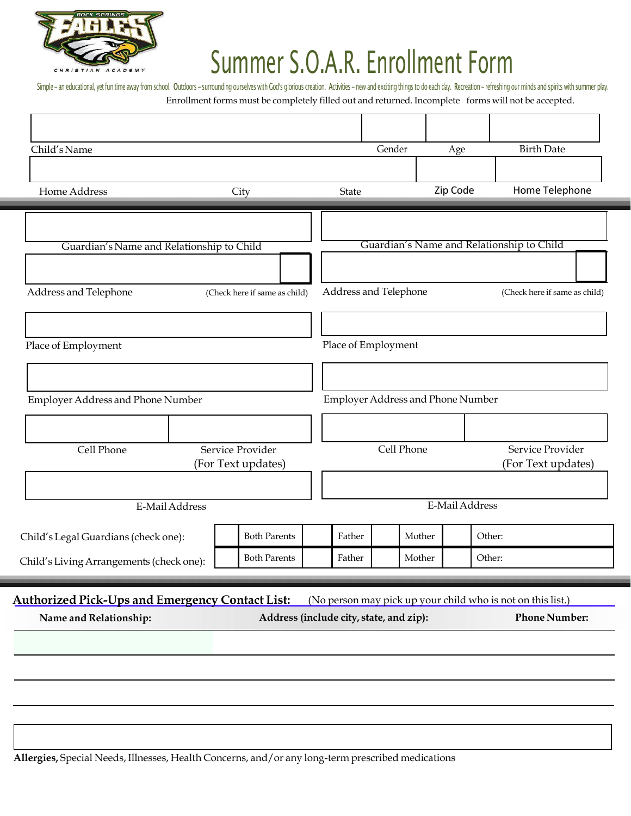

# Summer S.O.A.R. Enrollment Form

Simple - an educational, yet fun time away from school. Outdoors - surrounding ourselves with God's glorious creation. Activities - new and exciting things to do each day. Recreation - refreshing our minds and spirits with Enrollment forms must be completely filled out and returned. Incomplete forms will not be accepted.

| Child's Name                                           |                                        |                                         | Gender                            | Age            | <b>Birth Date</b>                                           |
|--------------------------------------------------------|----------------------------------------|-----------------------------------------|-----------------------------------|----------------|-------------------------------------------------------------|
| Home Address                                           | City                                   | State                                   |                                   | Zip Code       | Home Telephone                                              |
|                                                        |                                        |                                         |                                   |                |                                                             |
| Guardian's Name and Relationship to Child              |                                        |                                         |                                   |                | Guardian's Name and Relationship to Child                   |
|                                                        |                                        |                                         |                                   |                |                                                             |
| Address and Telephone                                  | (Check here if same as child)          | Address and Telephone                   |                                   |                | (Check here if same as child)                               |
| Place of Employment                                    |                                        | Place of Employment                     |                                   |                |                                                             |
|                                                        |                                        |                                         |                                   |                |                                                             |
| Employer Address and Phone Number                      |                                        |                                         | Employer Address and Phone Number |                |                                                             |
|                                                        |                                        |                                         |                                   |                |                                                             |
| Cell Phone                                             | Service Provider<br>(For Text updates) |                                         | Cell Phone                        |                | Service Provider<br>(For Text updates)                      |
|                                                        |                                        |                                         |                                   |                |                                                             |
| E-Mail Address                                         |                                        |                                         |                                   | E-Mail Address |                                                             |
| Child's Legal Guardians (check one):                   | <b>Both Parents</b>                    | Father                                  | Mother                            | Other:         |                                                             |
| Child's Living Arrangements (check one):               | <b>Both Parents</b>                    | Father                                  | Mother                            | Other:         |                                                             |
| <b>Authorized Pick-Ups and Emergency Contact List:</b> |                                        |                                         |                                   |                | (No person may pick up your child who is not on this list.) |
| Name and Relationship:                                 |                                        | Address (include city, state, and zip): |                                   |                | <b>Phone Number:</b>                                        |
|                                                        |                                        |                                         |                                   |                |                                                             |
|                                                        |                                        |                                         |                                   |                |                                                             |
|                                                        |                                        |                                         |                                   |                |                                                             |

**Allergies,** Special Needs, Illnesses, Health Concerns, and/or any long-term prescribed medications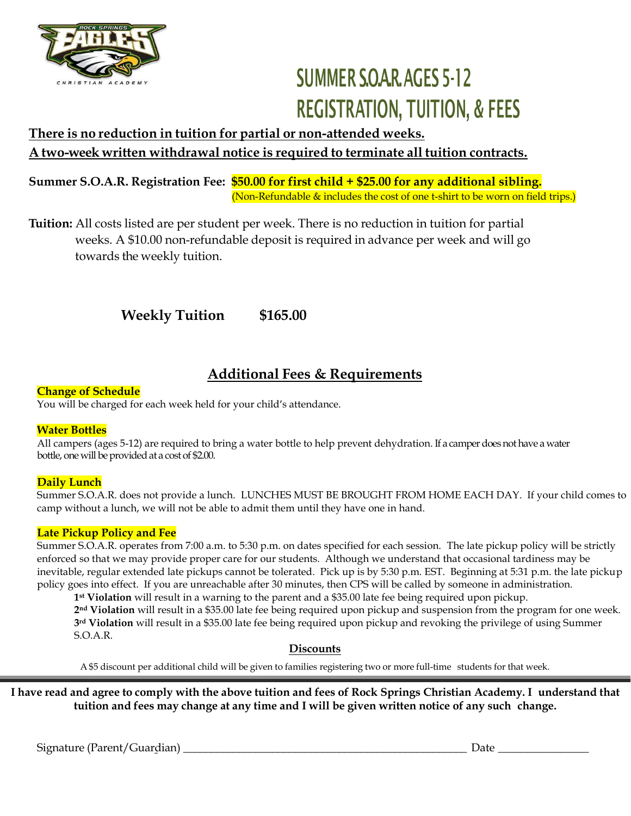

## SUMMER SOAR AGES 5-12 REGISTRATION, TUITION, & FEES

### **There is no reduction in tuition for partial or non-attended weeks. A two-week written withdrawal notice is required to terminate all tuition contracts.**

**Summer S.O.A.R. Registration Fee: \$50.00 for first child + \$25.00 for any additional sibling.** (Non-Refundable & includes the cost of one t-shirt to be worn on field trips.)

**Tuition:** All costs listed are per student per week. There is no reduction in tuition for partial weeks. A \$10.00 non-refundable deposit is required in advance per week and will go towards the weekly tuition.

 **Weekly Tuition \$165.00**

### **Additional Fees & Requirements**

#### **Change of Schedule**

You will be charged for each week held for your child's attendance.

#### **Water Bottles**

All campers (ages 5-12) are required to bring a water bottle to help prevent dehydration. If a camper does not have a water bottle, one will be provided at a cost of \$2.00.

#### **Daily Lunch**

Summer S.O.A.R. does not provide a lunch. LUNCHES MUST BE BROUGHT FROM HOME EACH DAY. If your child comes to camp without a lunch, we will not be able to admit them until they have one in hand.

#### **Late Pickup Policy and Fee**

Summer S.O.A.R. operates from 7:00 a.m. to 5:30 p.m. on dates specified for each session. The late pickup policy will be strictly enforced so that we may provide proper care for our students. Although we understand that occasional tardiness may be inevitable, regular extended late pickups cannot be tolerated. Pick up is by 5:30 p.m. EST. Beginning at 5:31 p.m. the late pickup policy goes into effect. If you are unreachable after 30 minutes, then CPS will be called by someone in administration.

**1 st Violation** will result in a warning to the parent and a \$35.00 late fee being required upon pickup.

**2 nd Violation** will result in a \$35.00 late fee being required upon pickup and suspension from the program for one week. **3 rd Violation** will result in a \$35.00 late fee being required upon pickup and revoking the privilege of using Summer S.O.A.R.

#### **Discounts**

A \$5 discount per additional child will be given to families registering two or more full-time students for that week.

I have read and agree to comply with the above tuition and fees of Rock Springs Christian Academy. I understand that **tuition and fees may change at any time and I will be given written notice of any such change.**

Signature (Parent/Guardian) \_\_\_\_\_\_\_\_\_\_\_\_\_\_\_\_\_\_\_\_\_\_\_\_\_\_\_\_\_\_\_\_\_\_\_\_\_\_\_\_\_\_\_\_\_\_\_\_\_\_\_ Date \_\_\_\_\_\_\_\_\_\_\_\_\_\_\_\_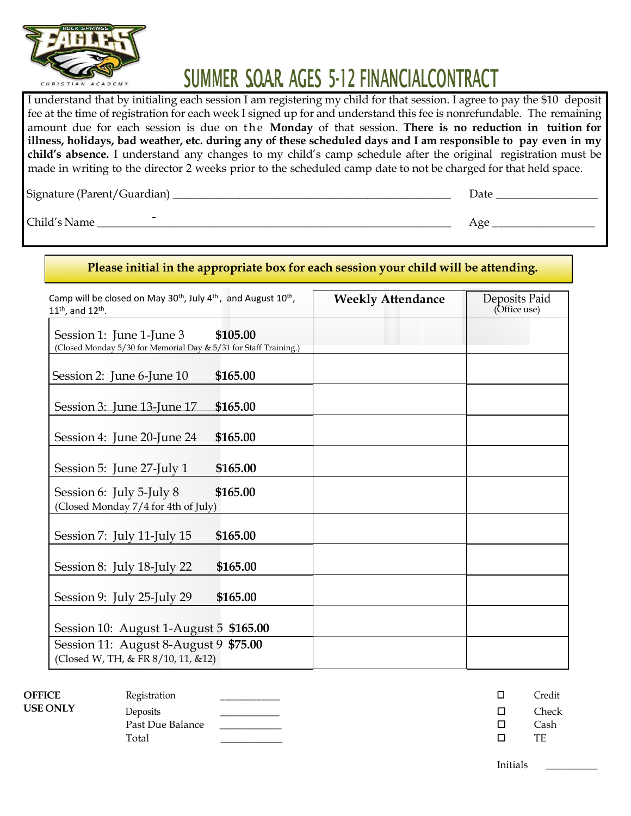

## SUMMER SOAR AGES 5-12 FINANCIALCONTRACT

I understand that by initialing each session I am registering my child for that session. I agree to pay the \$10 deposit fee at the time of registration for each week I signed up for and understand this fee is nonrefundable. The remaining amount due for each session is due on the Monday of that session. There is no reduction in tuition for illness, holidays, bad weather, etc. during any of these scheduled days and I am responsible to pay even in my **child's absence.** I understand any changes to my child's camp schedule after the original registration must be made in writing to the director 2 weeks prior to the scheduled camp date to not be charged for that held space.

Signature (Parent/Guardian) \_\_\_\_\_\_\_\_\_\_\_\_\_\_\_\_\_\_\_\_\_\_\_\_\_\_\_\_\_\_\_\_\_\_\_\_\_\_\_\_\_\_\_\_\_\_\_\_\_\_ Date \_\_\_\_\_\_\_\_\_\_\_\_\_\_\_\_\_\_

 $\text{Child's Name}$   $\overline{\phantom{a}}$   $\overline{\phantom{a}}$   $\phantom{a}$   $\phantom{a}$   $\phantom{a}$   $\phantom{a}$   $\phantom{a}$   $\phantom{a}$   $\phantom{a}$   $\phantom{a}$   $\phantom{a}$   $\phantom{a}$   $\phantom{a}$   $\phantom{a}$   $\phantom{a}$   $\phantom{a}$   $\phantom{a}$   $\phantom{a}$   $\phantom{a}$   $\phantom{a}$   $\phantom{a}$   $\phantom{a}$   $\phantom{a}$ 

|                                                                                                                                   |          | Please initial in the appropriate box for each session your child will be attending. |                               |
|-----------------------------------------------------------------------------------------------------------------------------------|----------|--------------------------------------------------------------------------------------|-------------------------------|
| Camp will be closed on May 30 <sup>th</sup> , July 4 <sup>th</sup> , and August 10 <sup>th</sup> ,<br>$11^{th}$ , and $12^{th}$ . |          | <b>Weekly Attendance</b>                                                             | Deposits Paid<br>(Office use) |
| Session 1: June 1-June 3<br>(Closed Monday 5/30 for Memorial Day & 5/31 for Staff Training.)                                      | \$105.00 |                                                                                      |                               |
| Session 2: June 6-June 10                                                                                                         | \$165.00 |                                                                                      |                               |
| Session 3: June 13-June 17                                                                                                        | \$165.00 |                                                                                      |                               |
| Session 4: June 20-June 24                                                                                                        | \$165.00 |                                                                                      |                               |
| Session 5: June 27-July 1                                                                                                         | \$165.00 |                                                                                      |                               |
| Session 6: July 5-July 8<br>(Closed Monday 7/4 for 4th of July)                                                                   | \$165.00 |                                                                                      |                               |
| Session 7: July 11-July 15                                                                                                        | \$165.00 |                                                                                      |                               |
| Session 8: July 18-July 22                                                                                                        | \$165.00 |                                                                                      |                               |
| Session 9: July 25-July 29                                                                                                        | \$165.00 |                                                                                      |                               |
| Session 10: August 1-August 5 \$165.00                                                                                            |          |                                                                                      |                               |
| Session 11: August 8-August 9 \$75.00<br>(Closed W, TH, & FR 8/10, 11, &12)                                                       |          |                                                                                      |                               |

| <b>OFFICE</b> | Registration     |  | Credit |
|---------------|------------------|--|--------|
| USE ONLY      | Deposits         |  | Check  |
|               | Past Due Balance |  | Cash   |
|               | Total            |  | TE     |
|               |                  |  |        |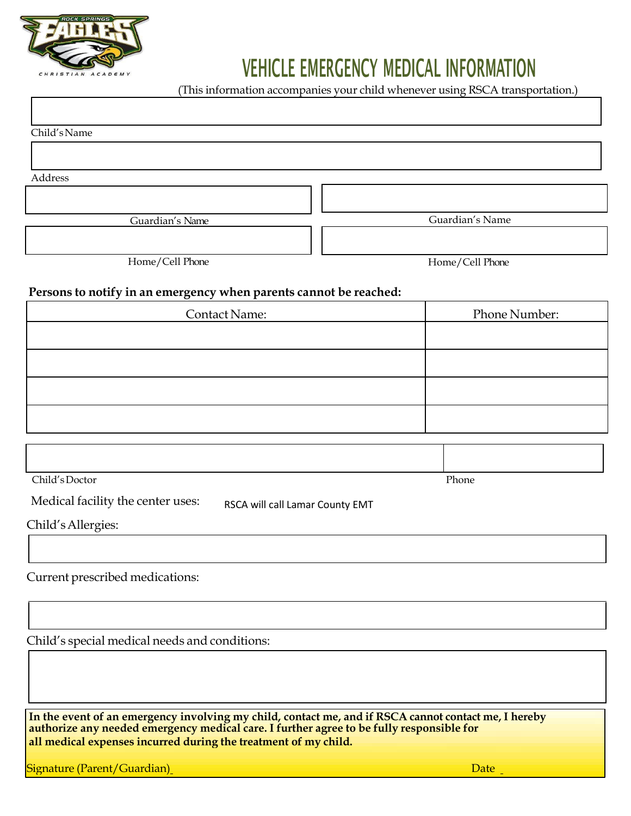

## VEHICLE EMERGENCY MEDICAL INFORMATION

(This information accompanies your child whenever using RSCA transportation.)

Child'sName

Address

Guardian's Name Guardian's Name

Home/Cell Phone Home/Cell Phone

#### **Persons to notify in an emergency when parents cannot be reached:**

| <b>Contact Name:</b> | Phone Number: |
|----------------------|---------------|
|                      |               |
|                      |               |
|                      |               |
|                      |               |

| Child's Doctor | Phone |
|----------------|-------|

Medical facility the center uses: RSCA will call Lamar County EMT

#### Current prescribed medications:

Child's special medical needs and conditions:

**In the event of an emergency involving my child, contact me, and if RSCA cannot contact me, I hereby authorize any needed emergency medical care. I further agree to be fully responsible for all medical expenses incurred during the treatment of my child.**

**Signature (Parent/Guardian)** Date and Contract Contract Contract Contract Contract Contract Contract Contract Contract Contract Contract Contract Contract Contract Contract Contract Contract Contract Contract Contract Con